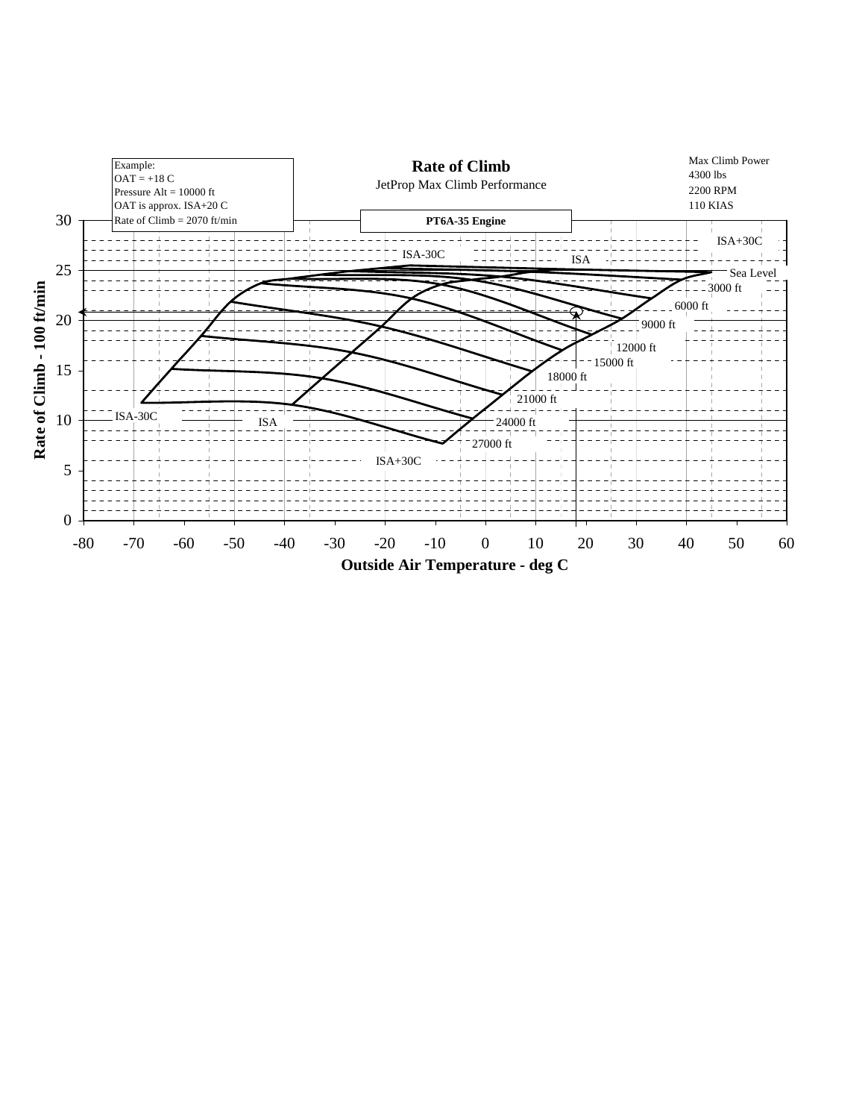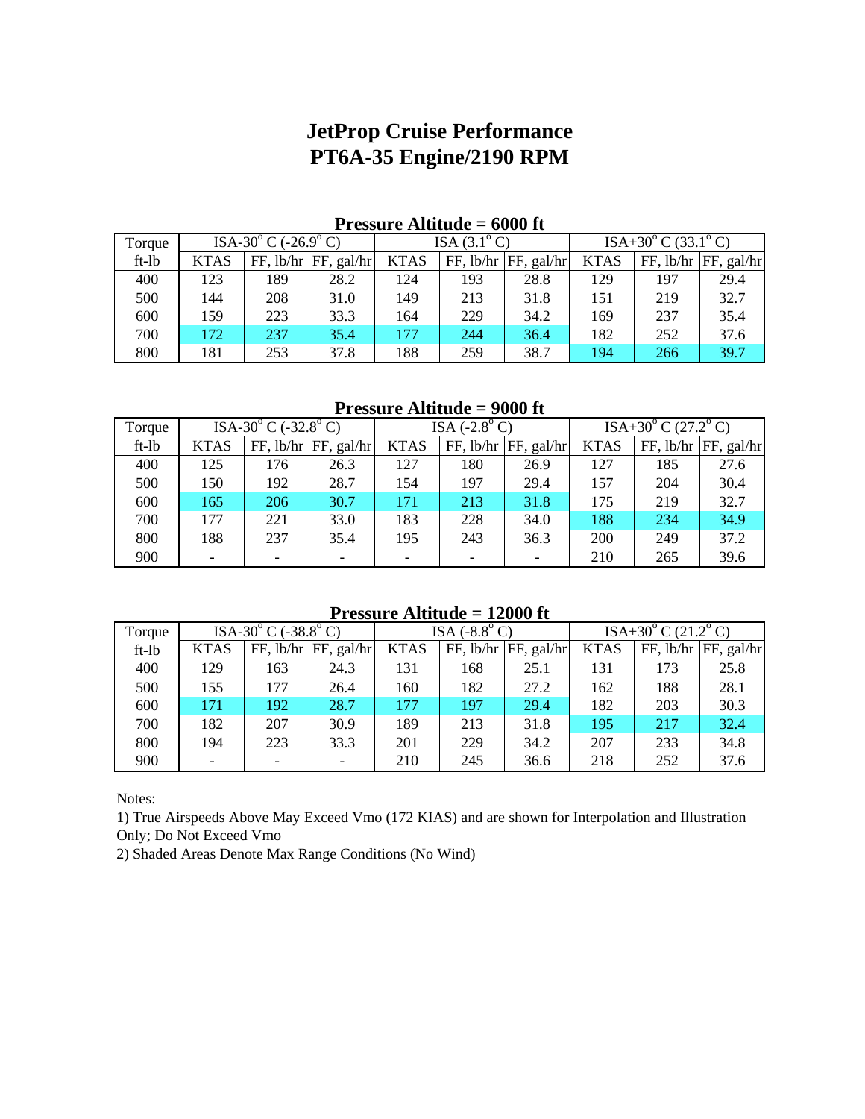## **JetProp Cruise Performance PT6A-35 Engine/2190 RPM**

| 1 Tessuit Limitate<br>$-$ www.et |                                          |     |                          |                              |     |                            |                             |     |                                  |  |  |  |
|----------------------------------|------------------------------------------|-----|--------------------------|------------------------------|-----|----------------------------|-----------------------------|-----|----------------------------------|--|--|--|
| Torque                           | ISA-30 $^{\circ}$ C (-26.9 $^{\circ}$ C) |     |                          | ISA $(3.1^{\circ} \text{C})$ |     |                            | $ISA+30^{\circ}$ C (33.1°C) |     |                                  |  |  |  |
| ft-lb                            | <b>KTAS</b>                              |     | $FF, lb/hr$ $FF, gal/hr$ | <b>KTAS</b>                  |     | $FF$ , lb/hr $FF$ , gal/hr | <b>KTAS</b>                 |     | $FF$ , lb/hr $\vert FF$ , gal/hr |  |  |  |
| 400                              | 123                                      | 189 | 28.2                     | 124                          | 193 | 28.8                       | 129                         | 197 | 29.4                             |  |  |  |
| 500                              | 144                                      | 208 | 31.0                     | 149                          | 213 | 31.8                       | 151                         | 219 | 32.7                             |  |  |  |
| 600                              | 159                                      | 223 | 33.3                     | 164                          | 229 | 34.2                       | 169                         | 237 | 35.4                             |  |  |  |
| 700                              | 172                                      | 237 | 35.4                     | 177                          | 244 | 36.4                       | 182                         | 252 | 37.6                             |  |  |  |
| 800                              | 181                                      | 253 | 37.8                     | 188                          | 259 | 38.7                       | 194                         | 266 | 39.7                             |  |  |  |

## **Pressure Altitude = 6000 ft**

**Pressure Altitude = 9000 ft**

| Torque  | ISA-30 $^{\circ}$ C (-32.8 $^{\circ}$ C) |     |                          | $ISA(.2.8^{\circ} C)$ |     |                            | ISA+30 $^{\circ}$ C (27.2 $^{\circ}$ C) |     |                          |
|---------|------------------------------------------|-----|--------------------------|-----------------------|-----|----------------------------|-----------------------------------------|-----|--------------------------|
| $ft-lb$ | <b>KTAS</b>                              |     | $FF, lb/hr$ $FF, gal/hr$ | <b>KTAS</b>           |     | $FF$ , lb/hr $FF$ , gal/hr | <b>KTAS</b>                             |     | $FF, lb/hr$ $FF, gal/hr$ |
| 400     | 125                                      | 176 | 26.3                     | 127                   | 180 | 26.9                       | 127                                     | 185 | 27.6                     |
| 500     | 150                                      | 192 | 28.7                     | 154                   | 197 | 29.4                       | 157                                     | 204 | 30.4                     |
| 600     | 165                                      | 206 | 30.7                     | 171                   | 213 | 31.8                       | 175                                     | 219 | 32.7                     |
| 700     | 177                                      | 221 | 33.0                     | 183                   | 228 | 34.0                       | 188                                     | 234 | 34.9                     |
| 800     | 188                                      | 237 | 35.4                     | 195                   | 243 | 36.3                       | 200                                     | 249 | 37.2                     |
| 900     |                                          |     |                          |                       |     |                            | 210                                     | 265 | 39.6                     |

**Pressure Altitude = 12000 ft**

| Torque | ISA-30 $^{\circ}$ C (-38.8 $^{\circ}$ C) |                          |            | ISA $(-8.8^{\circ} \text{C})$ |     |                            | $ISA+30^{\circ}$ C (21.2° C) |     |                                  |
|--------|------------------------------------------|--------------------------|------------|-------------------------------|-----|----------------------------|------------------------------|-----|----------------------------------|
| ft-lb  | <b>KTAS</b>                              | FF, lb/hr                | FF, gal/hr | <b>KTAS</b>                   |     | $FF$ , lb/hr $FF$ , gal/hr | <b>KTAS</b>                  |     | $FF$ , lb/hr $\vert FF$ , gal/hr |
| 400    | 129                                      | 163                      | 24.3       | 131                           | 168 | 25.1                       | 131                          | 173 | 25.8                             |
| 500    | 155                                      | 177                      | 26.4       | 160                           | 182 | 27.2                       | 162                          | 188 | 28.1                             |
| 600    | 171                                      | 192                      | 28.7       | 177                           | 197 | 29.4                       | 182                          | 203 | 30.3                             |
| 700    | 182                                      | 207                      | 30.9       | 189                           | 213 | 31.8                       | 195                          | 217 | 32.4                             |
| 800    | 194                                      | 223                      | 33.3       | 201                           | 229 | 34.2                       | 207                          | 233 | 34.8                             |
| 900    |                                          | $\overline{\phantom{0}}$ |            | 210                           | 245 | 36.6                       | 218                          | 252 | 37.6                             |

Notes:

1) True Airspeeds Above May Exceed Vmo (172 KIAS) and are shown for Interpolation and Illustration Only; Do Not Exceed Vmo

2) Shaded Areas Denote Max Range Conditions (No Wind)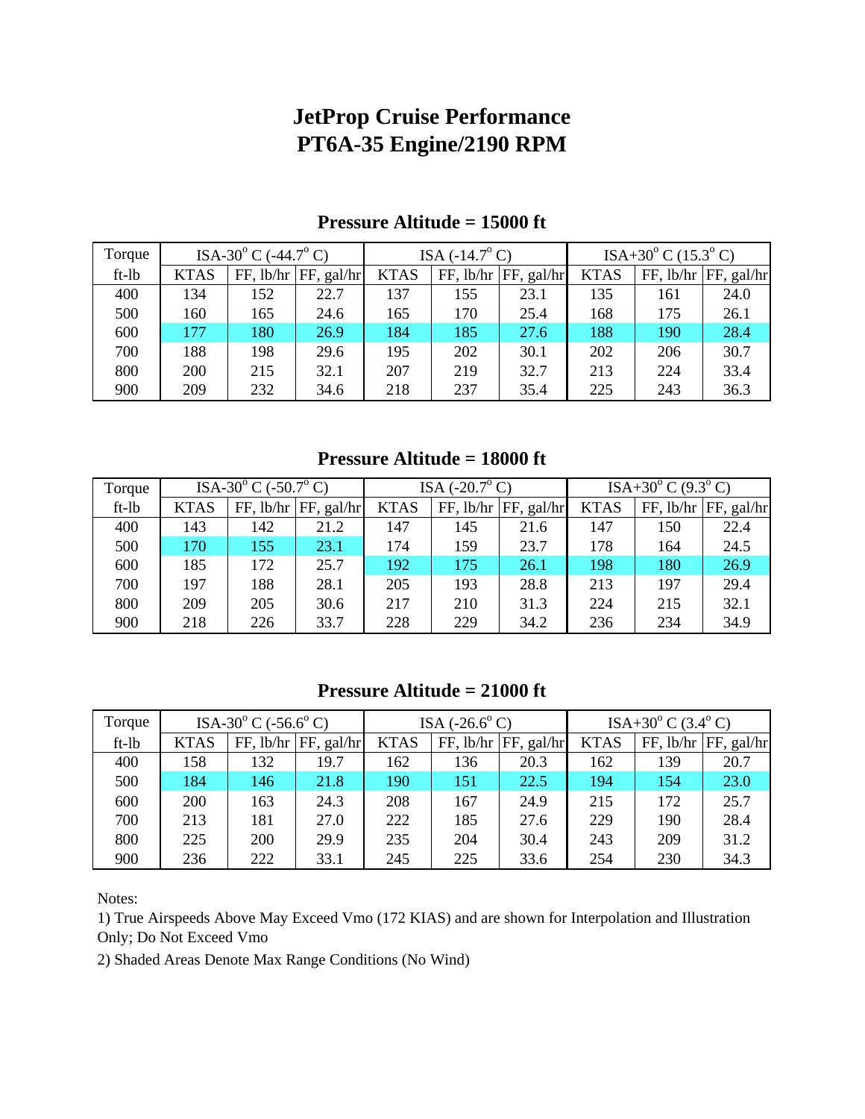## **JetProp Cruise Performance PT6A-35 Engine/2190 RPM**

| Torque  | ISA-30 $^{\circ}$ C (-44.7 $^{\circ}$ C) |     |                                  | ISA $(-14.7^{\circ} \text{C})$ |     |                        | $ISA+30^{\circ}$ C (15.3°C) |     |                                  |
|---------|------------------------------------------|-----|----------------------------------|--------------------------------|-----|------------------------|-----------------------------|-----|----------------------------------|
| $ft-lb$ | <b>KTAS</b>                              |     | $FF$ , lb/hr $\vert FF$ , gal/hr | <b>KTAS</b>                    |     | FF, lb/hr   FF, gal/hr | <b>KTAS</b>                 |     | $FF$ , lb/hr $\vert FF$ , gal/hr |
| 400     | 134                                      | 152 | 22.7                             | 137                            | 155 | 23.1                   | 135                         | 161 | 24.0                             |
| 500     | 160                                      | 165 | 24.6                             | 165                            | 170 | 25.4                   | 168                         | 175 | 26.1                             |
| 600     | 177                                      | 180 | 26.9                             | 184                            | 185 | 27.6                   | 188                         | 190 | 28.4                             |
| 700     | 188                                      | 198 | 29.6                             | 195                            | 202 | 30.1                   | 202                         | 206 | 30.7                             |
| 800     | <b>200</b>                               | 215 | 32.1                             | 207                            | 219 | 32.7                   | 213                         | 224 | 33.4                             |
| 900     | 209                                      | 232 | 34.6                             | 218                            | 237 | 35.4                   | 225                         | 243 | 36.3                             |

**Pressure Altitude = 15000 ft**

**Pressure Altitude = 18000 ft**

| Torque  | ISA-30 $^{\circ}$ C (-50.7 $^{\circ}$ C) |     |                                  | ISA $(-20.7^{\circ} \text{C})$ |     |                        | $ISA+30^{\circ}$ C (9.3°C) |     |                                  |
|---------|------------------------------------------|-----|----------------------------------|--------------------------------|-----|------------------------|----------------------------|-----|----------------------------------|
| $ft-lb$ | <b>KTAS</b>                              |     | $FF$ , lb/hr $\vert FF$ , gal/hr | <b>KTAS</b>                    |     | FF, lb/hr   FF, gal/hr | <b>KTAS</b>                |     | $FF$ , lb/hr $\vert FF$ , gal/hr |
| 400     | 143                                      | 142 | 21.2                             | 147                            | 145 | 21.6                   | 147                        | 150 | 22.4                             |
| 500     | 170                                      | 155 | 23.1                             | 174                            | 159 | 23.7                   | 178                        | 164 | 24.5                             |
| 600     | 185                                      | 172 | 25.7                             | 192                            | 175 | 26.1                   | 198                        | 180 | 26.9                             |
| 700     | 197                                      | 188 | 28.1                             | 205                            | 193 | 28.8                   | 213                        | 197 | 29.4                             |
| 800     | 209                                      | 205 | 30.6                             | 217                            | 210 | 31.3                   | 224                        | 215 | 32.1                             |
| 900     | 218                                      | 226 | 33.7                             | 228                            | 229 | 34.2                   | 236                        | 234 | 34.9                             |

**Pressure Altitude = 21000 ft**

| Torque  | ISA-30 $^{\circ}$ C (-56.6 $^{\circ}$ C) |     |                                  | ISA $(-26.6^{\circ} \text{C})$ |     |                                  | $ISA+30^{\circ}$ C (3.4°C) |     |                                  |
|---------|------------------------------------------|-----|----------------------------------|--------------------------------|-----|----------------------------------|----------------------------|-----|----------------------------------|
| $ft-lb$ | <b>KTAS</b>                              |     | $FF$ , lb/hr $\vert FF$ , gal/hr | <b>KTAS</b>                    |     | $FF$ , lb/hr $\vert FF$ , gal/hr | <b>KTAS</b>                |     | $FF$ , lb/hr $\vert FF$ , gal/hr |
| 400     | 158                                      | 132 | 19.7                             | 162                            | 136 | 20.3                             | 162                        | 139 | 20.7                             |
| 500     | 184                                      | 146 | 21.8                             | 190                            | 151 | 22.5                             | 194                        | 154 | 23.0                             |
| 600     | 200                                      | 163 | 24.3                             | 208                            | 167 | 24.9                             | 215                        | 172 | 25.7                             |
| 700     | 213                                      | 181 | 27.0                             | 222                            | 185 | 27.6                             | 229                        | 190 | 28.4                             |
| 800     | 225                                      | 200 | 29.9                             | 235                            | 204 | 30.4                             | 243                        | 209 | 31.2                             |
| 900     | 236                                      | 222 | 33.1                             | 245                            | 225 | 33.6                             | 254                        | 230 | 34.3                             |

Notes:

1) True Airspeeds Above May Exceed Vmo (172 KIAS) and are shown for Interpolation and Illustration Only; Do Not Exceed Vmo

2) Shaded Areas Denote Max Range Conditions (No Wind)